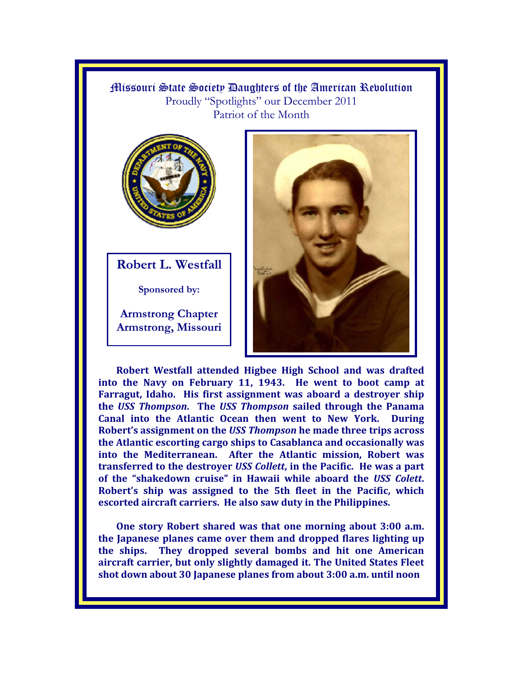Missouri State Society Daughters of the American Revolution Proudly "Spotlights" our December 2011 Patriot of the Month



**Robert L. Westfall** 

**Sponsored by:** 

**Armstrong Chapter Armstrong, Missouri** 



**Robert Westfall attended Higbee High School and was drafted into the Navy on February 11, 1943. He went to boot camp at Farragut, Idaho. His first assignment was aboard a destroyer ship the** *USS Thompson***. The** *USS Thompson* **sailed through the Panama Canal into the Atlantic Ocean then went to New York. During Robert's assignment on the** *USS Thompson* **he made three trips across the Atlantic escorting cargo ships to Casablanca and occasionally was into the Mediterranean. After the Atlantic mission, Robert was transferred to the destroyer** *USS Collett***, in the Pacific. He was a part of the "shakedown cruise" in Hawaii while aboard the** *USS Colett***. Robert's ship was assigned to the 5th fleet in the Pacific, which escorted aircraft carriers. He also saw duty in the Philippines.** 

**One story Robert shared was that one morning about 3:00 a.m. the Japanese planes came over them and dropped flares lighting up the ships. They dropped several bombs and hit one American aircraft carrier, but only slightly damaged it. The United States Fleet shot down about 30 Japanese planes from about 3:00 a.m. until noon**